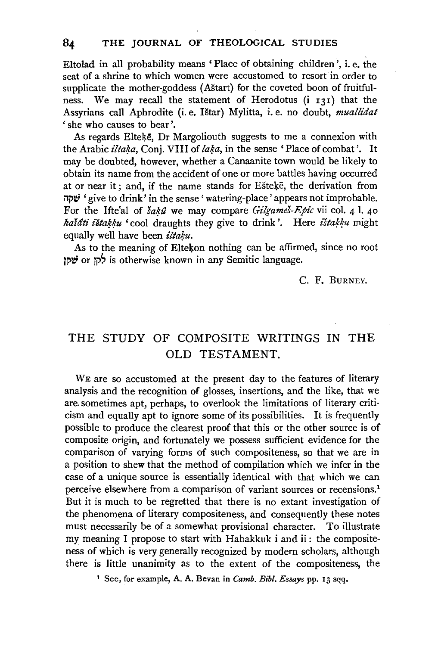Eltolad in all probability means 'Place of obtaining children', i.e. the seat of a shrine to which women were accustomed to resort in order to supplicate the mother-goddess (Astart) for the coveted boon of fruitfulness. We may recall the statement of Herodotus (i 131) that the Assyrians call Aphrodite (i.e. !Star) Mylitta, i.e. no doubt, *muallidat*  'she who causes to bear'.

As regards Eltekē, Dr Margoliouth suggests to me a connexion with the Arabic *ilta\*a,* Conj. VIII of *la\*a,* in the sense 'Place of combat'. It may be doubted, however, whether a Canaanite town would be likely to obtain its name from the accident of one or more battles having occurred at or near it; and, if the name stands for Ešteķē, the derivation from i1i't!i 'give to drink' in the sense' watering-place' appears not improbable. For the Ifte'al of *šaků* we may compare *Gilgameš-Epic* vii col. 4 1. 40 *kašáti ištakku* 'cool draughts they give to drink'. Here *ištakku* might equally well have been *iltaku*.

As to the meaning of Eltekon nothing can be affirmed, since no root tor לקן or time se known in any Semitic language.

c. F. BURNEY.

## THE STUDY OF COMPOSITE WRITINGS IN THE OLD TESTAMENT.

WE are so accustomed at the present day to the features of literary analysis and the recognition of glosses, insertions, and the like, that we are. sometimes apt, perhaps, to overlook the limitations of literary criticism and equally apt to ignore some of its possibilities. It is frequently possible to produce the clearest proof that this or the other source is of composite origin, and fortunately we possess sufficient evidence for the comparison of varying forms of such compositeness, so that we are in a position to shew that the method of compilation which we infer in the case of a unique source is essentially identical with that which we can perceive elsewhere from a comparison of variant sources or recensions.<sup>1</sup> But it is much to be regretted that there is no extant investigation of the phenomena of literary compositeness, and consequently these notes must necessarily be of a somewhat provisional character. To illustrate my meaning I propose to start with Habakkuk i and ii : the compositeness of which is very generally recognized by modern scholars, although there is little unanimity as to the extent of the compositeness, the

1 See, for example, A. A. Bevan in *Camb. Bib!. Essays* pp. 13 sqq.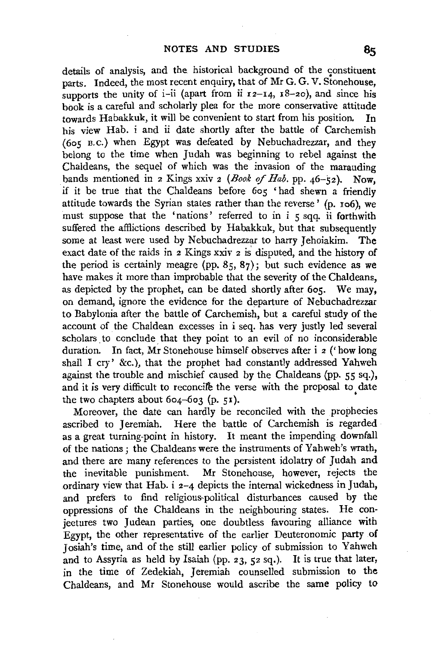details of analysis, and the historical background of the constituent parts. Indeed, the most recent enquiry, that of Mr G. G. V. Stonehouse, supports the unity of i-ii (apart from ii  $r=14$ ,  $r=8-20$ ), and since his book is a careful and scholarly plea for the more conservative attitude towards Habakkuk, it will be convenient to start from his position. In his view Hab. i and ii date shortly after the battle of Carchemish (6os B.c.) when Egypt was defeated by Nebuchadrezzar, and they belong to the time when Judah was beginning to rebel against the Chaldeans, the sequel of which was the invasion of the marauding bands mentioned in *z* Kings xxiv *z* (*Book of Hab.* pp. 46-52). Now, if it be true that the Chaldeans before 6os 'had shewn a friendly attitude towards the Syrian states rather than the reverse' (p. xo6), we must suppose that the 'nations' referred to in i 5 sqq. ii forthwith suffered the afflictions described by Habakkuk, but that subsequently some at least were used by Nebuchadrezzar to harry Jehoiakim. The exact date of the raids in *z* Kings xxiv 2 is' disputed, and the history of the period is certainly meagre (pp. 85, 87); but such evidence as we have makes it more than improbable that the severity of the Chaldeans, as depicted by the prophet, can be dated shortly after 605. We may, on demand, ignore the evidence for the departure of Nebuchadrezzar to Babylonia after the battle of Carchemish, but a careful study of the account of the Chaldean excesses in i seq. has very justly led several scholars to conclude that they point to an evil of no inconsiderable duration. In fact, Mr Stonehouse himself observes after i *z* ('how long shall I cry' &c.), that the prophet had constantly addressed Yahweh against the trouble and mischief caused by the Chaldeans (pp. 55 sq.), and it is very difficult to reconcile the verse with the proposal to date the two chapters about  $604-603$  (p. 51).

Moreover, the date can hardly be reconciled with the prophecies ascribed to Jeremiah. Here the battle of Carchemish is regarded as a great turning-point in history. It meant the impending downfall of the nations ; the Chaldeans were the instruments of Yahweh's wrath, and there are many references to the persistent idolatry of Judah and the inevitable punishment. Mr Stonehouse, however, rejects the ordinary view that Hab. i 2-4 depicts the internal wickedness in Judah, and prefers to find religious-political disturbances caused by the oppressions of the Chaldeans in the neighbouring states. He conjectures two Judean parties, one doubtless favouring alliance with Egypt, the other representative of the earlier Deuteronomic party of Josiah's time, and of the still earlier policy of submission to Yahweh and to Assyria as held by Isaiah (pp. 23, 52 sq.). It is true that later, in the time of Zedekiah, Jeremiah counselled submission to the Chaldeans, and Mr Stonehouse would ascribe the same policy to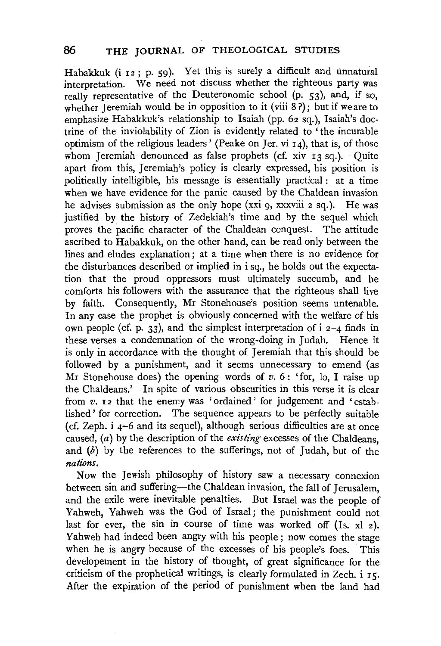Habakkuk (i 12; p. 59). Yet this is surely a difficult and unnatural interpretation. We need not discuss whether the righteous party was really representative of the Deuteronomic school (p. 53), and, if so, whether Jeremiah would be in opposition to it (viii  $\frac{8}{2}$ ); but if we are to emphasize Habakkuk's relationship to Isaiah (pp. 62 sq.), Isaiah's doctrine of the inviolability of Zion is evidently related to 'the incurable optimism of the religious leaders' (Peake on  $Ier. vi I 4$ ), that is, of those whom Jeremiah denounced as false prophets (cf. xiv 13 sq.). Quite apart from this, Jeremiah's policy is clearly expressed, his position is politically intelligible, his message is essentially practical : at a time when we have evidence for the panic caused by the Chaldean invasion he advises submission as the only hope (xxi 9, xxxviii 2 sq.). He was justified by the history of Zedekiah's time and by the sequel which proves the pacific character of the Chaldean conquest. The attitude ascribed to Habakkuk, on the other hand, can be read only between the lines and eludes explanation; at a time when there is no evidence for the disturbances described or implied in i sq., he holds out the expectation that the proud oppressors must ultimately succumb, and he comforts his followers with the assurance that the righteous shall live by faith. Consequently, Mr Stonehouse's position seems untenable. In any case the prophet is obviously concerned with the welfare of his own people (cf. p. 33), and the simplest interpretation of  $i$   $i$   $j$   $-4$  finds in these verses a condemnation of the wrong-doing in Judah. Hence it is only in accordance with the thought of Jeremiah that this should be followed by a punishment, and it seems unnecessary to emend (as Mr Stonehouse does) the opening words of  $v$ .  $6:$  'for, lo, I raise up the Chaldeans.' In spite of various obscurities in this verse it is clear from  $v$ ,  $z$  that the enemy was 'ordained' for judgement and 'established' for correction. The sequence appears to be perfectly suitable (cf. Zeph. i 4-6 and its sequel), although serious difficulties are at once caused, (a) by the description of the *existing* excesses of the Chaldeans. and  $(b)$  by the references to the sufferings, not of Judah, but of the  $nations.$ 

Now the Jewish philosophy of history saw a necessary connexion between sin and suffering—the Chaldean invasion, the fall of Jerusalem. and the exile were inevitable penalties. But Israel was the people of Yahweh, Yahweh was the God of Israel; the punishment could not last for ever, the sin in course of time was worked off  $(Is, x12)$ . Yahweh had indeed been angry with his people; now comes the stage when he is angry because of the excesses of his people's foes. This developement in the history of thought, of great significance for the criticism of the prophetical writings, is clearly formulated in Zech. i IS. After the expiration of the period of punishment when the land had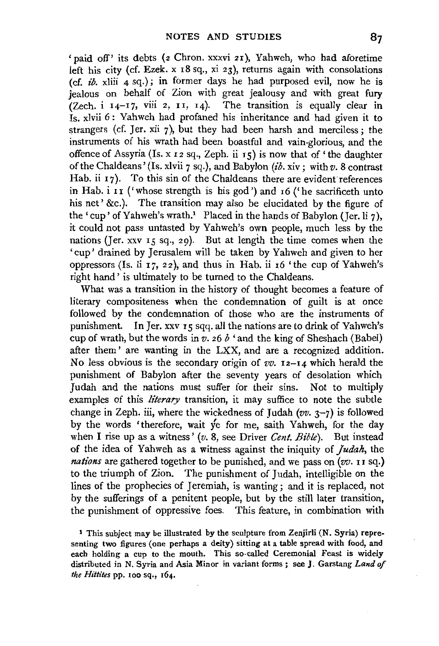'paid off' its debts (2 Chron. xxxvi 21), Yahweh, who had aforetime left his city (cf. Ezek. x 18 sq., xi 23), returns again with consolations (cf. *ib.* xliii  $\bf{A}$  sq.); in former days he had purposed evil, now he is jealous on behalf of Zion with great jealousy and with great fury (Zech. i  $14-17$ , viii 2,  $11$ ,  $14$ ). The transition is equally clear in Is. xlvii 6: Yahweh had profaned his inheritance and had given it to strangers (cf. Jer. xii  $\gamma$ ), but they had been harsh and merciless; the instruments of his wrath had been boastful and vain-glorious, and the offence of Assyria (Is. x 12 sq., Zeph. ii 15) is now that of 'the daughter of the Chaldeans' (Is. xlvii 7 sq.), and Babylon *(ib.* xiv; with *v.* 8 contrast Hab. ii 17). To this sin of the Chaldeans there are evident references in Hab.  $i$  II ('whose strength is his god') and  $i$  6 ('he sacrificeth unto his net' &c.). The transition may also be elucidated by the figure of the 'cup' of Yahweh's wrath.<sup>1</sup> Placed in the hands of Babylon (Jer. li 7), it could not pass untasted by Yahweh's own people, much less by the nations (Jer. xxv 15 sq., 29). But at length the time comes when the ' cup ' drained by Jerusalem will be taken by Yahweh· and given to her oppressors (Is. li  $17$ ,  $22$ ), and thus in Hab. ii  $16$  'the cup of Yahweh's right hand' is ultimately to be turned to the Chaldeans.

What was a transition in the history of thought becomes a feature of literary compositeness when the condemnation of guilt is at once followed by the condemnation of those who are the instruments of punishment. In Jer. xxv IS sqq. all the nations are to drink of Yahweh's cup of wrath, but the words in  $v$ , 26  $b$  <sup> $\prime$ </sup> and the king of Sheshach (Babel) after them ' are wanting in the LXX, and are a recognized addition. No less obvious is the secondary origin of  $vv$ . **I2-I4** which herald the punishment of Babylon after the seventy years of desolation which Judah and the nations must suffer for their sins. Not to multiply examples of this *literary* transition, it may suffice to note the subtle change in Zeph. iii, where the wickedness of Judah *(vv.* 3-7) is followed by the words 'therefore, wait ye for me, saith Yahweh, for the day when I rise up as a witness' (v. 8, see Driver *Cent. Bible*). But instead of the idea of Yahweh as a witness against the iniquity of *Judah,* the *nations* are gathered together to be punished, and we pass on (vv. 11 sq.) to the triumph of Zion. The punishment of Judah, intelligible on the lines of the prophecies of Jeremiah, is wanting ; and it is replaced, not by the sufferings of a penitent people, but by the still later transition, the punishment of oppressive foes. This feature, in combination with

1 This subject may be illustrated by the sculpture from Zenjirli (N. Syria) representing two figures (one perhaps a deity) sitting at a table spread with food, and each holding a cup to the mouth. This so-called Ceremonial Feast is widely distributed in N. Syria and Asia Minor in variant forms; see J. Garstang *Land of the Hittites* pp. 100 sq., 164.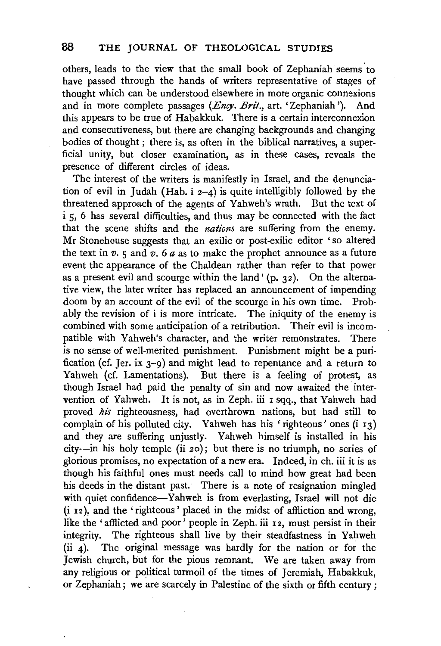others, leads to the view that the small book of Zephaniah seems· to have passed through the hands of writers representative of stages of thought which can be understood elsewhere in more organic connexions and in more complete passages *(Ency. Brit.,* art. 'Zephaniah'). And this appears to be true of Habakkuk. There is a certain interconnexion and consecutiveness, but there are changing backgrounds and changing bodies of thought; there is, as often in the biblical narratives, a superficial unity, but closer examination, as in these cases, reveals the presence of different circles of ideas.

The interest of the writers is manifestly in Israel, and the denunciation of evil in Judah (Hab. i  $2-4$ ) is quite intelligibly followed by the threatened approach of the agents of Yahweh's wrath. But the text of i 5, 6 has several difficulties, and thus may be connected with the fact that the scene shifts and the *nations* are suffering from the enemy. Mr Stonehouse suggests that an exilic or post-exilic editor ' so altered the text in  $v$ .  $\frac{1}{5}$  and  $v$ .  $6a$  as to make the prophet announce as a future event the appearance of the Chaldean rather than refer to that power as a present evil and scourge within the land  $(n, 32)$ . On the alternative view, the later writer has replaced an announcement of impending doom by an account of the evil of the scourge in his own time. Probably the revision of i is more intricate. The iniquity of the enemy is combined with some anticipation of a retribution. Their evil is incompatible with Yahweh's character, and the writer remonstrates. There is no sense of well-merited punishment. Punishment might be a purification (cf. Jer. ix  $3-9$ ) and might lead to repentance and a return to Yahweh (cf. Lamentations). But there is a feeling of protest, as though Israel had paid the penalty of sin and now awaited the intervention of Yahweh. It is not, as in Zeph. iii I sqq., that Yahweh had proved *his* righteousness, had overthrown nations, but had still to complain of his polluted city. Yahweh has his 'righteous' ones  $(i_1, j_2)$ and they are suffering unjustly. Yahweh himself is installed in his city-in his holy temple (ii 20); but there is no triumph, no series of glorious promises, no expectation of a new era. Indeed, in ch. iii it is as though his faithful ones must needs call to mind how great had been his deeds in the distant past. There is a note of resignation mingled with quiet confidence-Yahweh is from everlasting, Israel will not die (i 12 ), and the 'righteous' placed in the midst of affliction and wrong, like the 'afflicted and poor' people in Zeph. iii 12, must persist in their integrity. The righteous shall live by their steadfastness in Yahweh (ii  $\Delta$ ). The original message was hardly for the nation or for the Jewish church, but for the pious remnant. We are taken away from any religious or political turmoil of the times of Jeremiah, Habakkuk, or Zephaniah; we are scarcely in Palestine of the sixth or fifth century;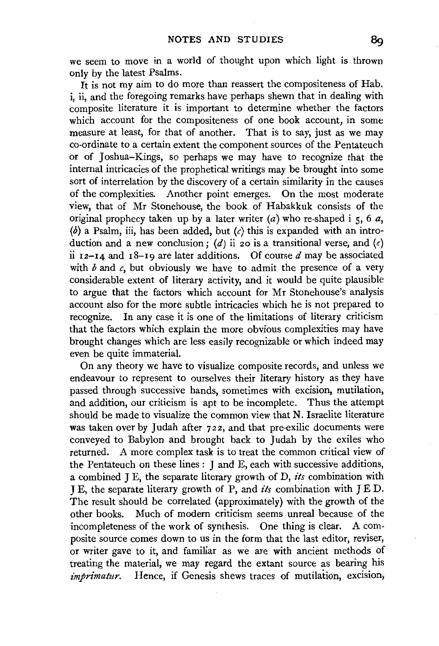we seem to move in a world of thought upon which light is thrown only by the latest Psalms.

It is not my aim to do more than reassert the compositeness of Hab. i, ii, and the foregoing remarks have perhaps shewn that in dealing with composite literature it is important to determine whether the factors which account for the compositeness of one book account, in some measure at least, for that of another. That is to say, just as we may co-ordinate to a certain extent the component sources of the Pentateuch or of Joshua-Kings, so perhaps we may have to recognize that the internal intricacies of the prophetical writings may be brought into some sort of interrelation by the discovery of a certain similarity in the causes of the complexities. Another point emerges. On the most moderate view, that of Mr Stonehouse, the book of Habakkuk consists of the original prophecy taken up by a later writer  $(a)$  who re-shaped i 5, 6  $a$ , (b) a Psalm, iii, has been added, but *(c)* this is expanded with an introduction and a new conclusion; (d) ii 20 is a transitional verse, and (e) ii  $12-14$  and  $18-19$  are later additions. Of course d may be associated with  $b$  and  $c$ , but obviously we have to admit the presence of a very considerable extent of literary activity, and it would be quite plausible to argue that the factors which account for Mr Stonehouse's analysis account also for the more subtle intricacies which he is not prepared to recognize. In any case it is one of the limitations of literary criticism that the factors which explain the more obvious complexities may have brought changes which are less easily recognizable or which indeed may even be quite immaterial.

On any theory we have to visualize composite records, and unless we endeavour to represent to ourselves their literary history as they have passed through successive hands, sometimes with excision, mutilation, and addition, our criticism is apt to be incomplete. Thus the attempt should be made to visualize the common view that N. Israelite literature was taken over by Judah after 722, and that pre-exilic documents were conveyed to Babylon and brought back to Judah by the exiles who returned. A more complex task is to treat the common critical view of the Pentateuch on these lines : J and E, each with successive additions, a combined J E, the separate literary growth of D, *its* combination with J E, the separate literary growth of P, and *its* combination with JED. The result should be correlated (approximately) with the growth of the other books. Much of modern criticism seems unreal because of the incompleteness of the work of synthesis. One thing is clear. A composite source comes down to us in the form that the last editor, reviser, or writer gave to it, and familiar as we are with ancient methods of treating the material, we may regard the extant source as bearing his *imprimatur.* Hence, if Genesis shews traces of mutilation, excision,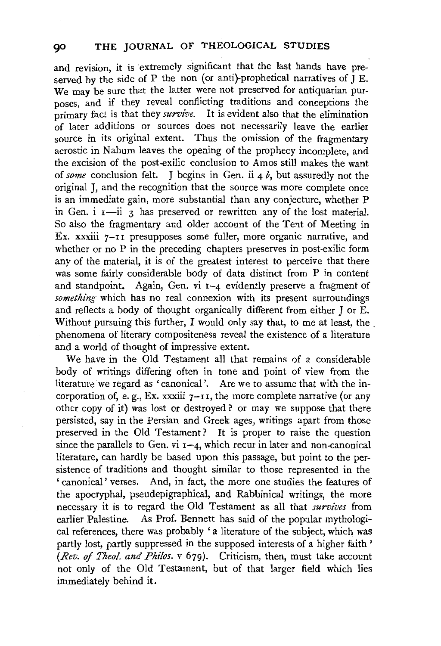and revision, it is extremely significant that the last hands have preserved by the side of P the non (or anti)-prophetical narratives of  $\overline{J}E$ . We may be sure that the latter were not preserved for antiquarian purposes, and if they reveal conflicting traditions and conceptions the primary fact is that they *survive.* It is evident also that the elimination of later additions or sources does not necessarily leave the earlier source in its original extent. Thus the omission of the fragmentary acrostic in Nahum leaves the opening of the prophecy incomplete, and the excision of the post-exilic conclusion to Amos still makes the want of *some* conclusion felt. J begins in Gen. ii 4 *b,* but assuredly not the original J, and the recognition that the source was more complete once is an immediate gain, more substantial than any conjecture, whether P in Gen.  $i$   $i - ii$  3 has preserved or rewritten any of the lost material. So also the fragmentary and older account of the Tent of Meeting in Ex. xxxiii 7-II presupposes some fuller, more organic narrative, and whether or no P in the preceding chapters preserves in post-exilic form any of the material, it is of the greatest interest to perceive that there was some fairly considerable body of data distinct from P in content and standpoint. Again, Gen. vi  $I-4$  evidently preserve a fragment of *something* which has no real connexion with its present surroundings and reflects a body of thought organically different from either J or E. Without pursuing this further, I would only say that, to me at least, the . phenomena of literary compositeness reveal the existence of a literature and a world of thought of impressive extent.

We have in the Old Testament all that remains of a considerable body of writings differing often in tone and point of view from the literature we regard as 'canonical'. Are we to assume that with the incorporation of, e.g., Ex. xxxiii  $7-r$ , the more complete narrative (or any other copy of it) was lost or destroyed? or may we suppose that there persisted, say in the Persian and Greek ages, writings apart from those preserved in the Old Testament? It is proper to raise the question since the parallels to Gen. vi  $r-4$ , which recur in later and non-canonical literature, can hardly be based upon this passage, but point to the persistence of traditions and thought similar to those represented in the ' canonical' verses. And, in fact, the more one studies the features of the apocryphal, pseudepigraphical, and Rabbinical writings, the more necessary it is to regard the Old Testament as all that *survives* from earlier Palestine. As Prof. Bennett has said of the popular mythological references, there was probably ' a literature of the subject, which was partly lost, partly suppressed in the supposed interests of a higher faith ' *(Rev. of Theol. and Philos.* v 679). Criticism, then, must take account not only of the Old Testament, but of that larger field which lies immediately behind it.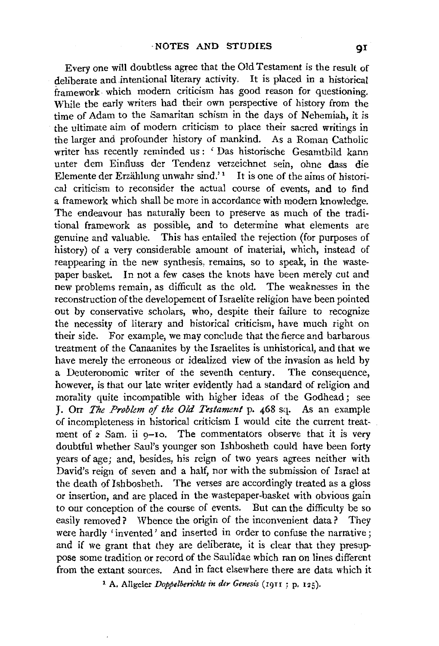Every one will doubtless agree that the Old Testament is the result of deliberate and intentional literary activity. It is placed in a historical framework which modern criticism has good reason for questioning. While the early writers had their own perspective of history from the time of Adam to the Samaritan schism in the days of Nehemiah, it is the ultimate aim of modern criticism to place their sacred writings in the larger and profounder history of mankind. As a Roman Catholic writer has recently reminded us: 'Das historische Gesamtbild kann unter dem Einfluss der Tendenz verzeichnet sein, ohne dass die Elemente der Erzählung unwahr sind.' $1$  It is one of the aims of historical criticism to reconsider the actual course of events, and to find a framework which shall be more in accordance with modern knowledge. The endeavour has naturally been to preserve as much of the traditional framework as possible, and to determine what elements are genuine and valuable. This has entailed the rejection (for purposes of history) of a very considerable amount of material, which, instead of reappearing in the new synthesis, remains, so to speak, in the wastepaper basket. In not a few cases the knots have been merely cut and new problems remain, as difficult as the old. The weaknesses in the reconstruction of the developement of Israelite religion have been pointed out by conservative scholars, who, despite their failure to recognize the necessity of literary and historical criticism, have much right on their side. For example, we may conclude that the fierce and barbarous treatment of the Canaanites by the Israelites is unhistorical, and that we have merely the erroneous or idealized view of the invasion as held by a Deuteronomic writer of the seventh century. The consequence, however, is that our late writer evidently had a standard of religion and morality quite incompatible with higher ideas of the Godhead; see J. Orr *The Problem* of *the Old Testament* p. 468 sq. As an example of incompleteness in historical criticism I would cite the current treatment of 2 Sam. ii 9-10. The commentators observe that it is very doubtful whether Saul's younger son Ishbosheth could have been forty years of age; and, besides, his reign of two years agrees neither with David's reign of seven and a half, nor with the submission of Israel at the death of Ishbosheth. The verses are accordingly treated as a gloss or insertion, and are placed in the wastepaper-basket with obvious gain to our conception of the course of events. But can the difficulty be so easily removed? Whence the origin of the inconvenient data? They were hardly 'invented' and inserted in order to confuse the narrative; and if we grant that they are deliberate, it is clear that they presuppose some tradition or record of the Saulidae which ran on lines different from the extant sources. And in fact elsewhere there are data which it

<sup>1</sup> A. Allgeier *Doppelberichte in der Genesis* (1911; p. 125).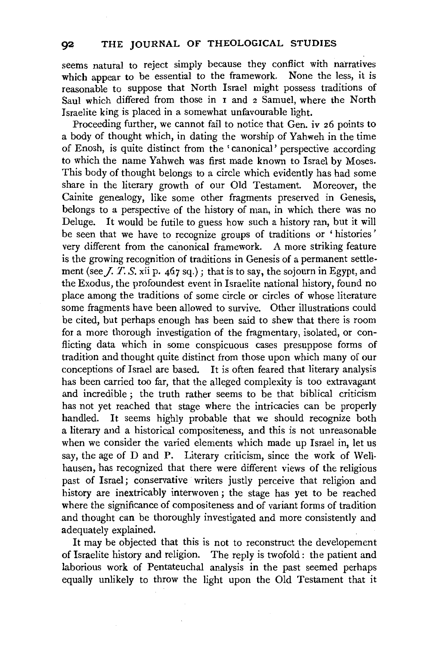seems natural to reject simply because they conflict with narratives which appear to be essential to the framework. None the less, it is reasonable to suppose that North Israel might possess traditions of Saul which differed from those in 1 and 2 Samuel, where the North Israelite king is placed in a somewhat unfavourable light.

Proceeding further, we cannot fail to notice that Gen. iv 26 points to a body of thought which, in dating the worship of Yahweh in the time of Enosh, is quite distinct from the 'canonical' perspective according to which the name Yahweh was first made known to Israel by Moses. This body of thought belongs to a circle which evidently has had some share in the literary growth of our Old Testament. Moreover, the Cainite genealogy, like some other fragments preserved in Genesis, belongs to a perspective of the history of man, in which there was no Deluge. It would be futile to guess how such a history ran, but it will be seen that we have to recognize groups of traditions or ' histories ' very different from the canonical framework. A more striking feature is the growing recognition of traditions in Genesis of a permanent settlement (see *J. T. S.*  $\overline{x}$ ii p. 467 sq.); that is to say, the sojourn in Egypt, and the Exodus, the profoundest event in Israelite national history, found no place among the traditions of some circle or circles of whose literature some fragments have been allowed to survive. Other illustrations could be cited, but perhaps enough has been said to shew that there is room for a more thorough investigation of the fragmentary, isolated, or conflicting data which in some conspicuous cases presuppose forms of tradition and thought quite distinct from those upon which many of our conceptions of Israel are based. It is often feared that literary analysis has been carried too far, that the alleged complexity is too extravagant and incredible ; the truth rather seems to be that biblical criticism has not yet reached that stage where the intricacies can be properly handled. It seems highly probable that we should recognize both a literary and a historical compositeness, and this is not unreasonable when we consider the varied elements which made up Israel in, let us say, the age of D and P. Literary criticism, since the work of Wellhausen, has recognized that there were different views of the religious past of Israel; conservative writers justly perceive that religion and history are inextricably interwoven ; the stage has yet to be reached where the significance of compositeness and of variant forms of tradition and thought can be thoroughly investigated and more consistently and adequately explained.

It may be objected that this is not to reconstruct the developement of Israelite history and religion. The reply is twofold : the patient and laborious work of Pentateuchal analysis in the past seemed perhaps equally unlikely to throw the light upon the Old Testament that it